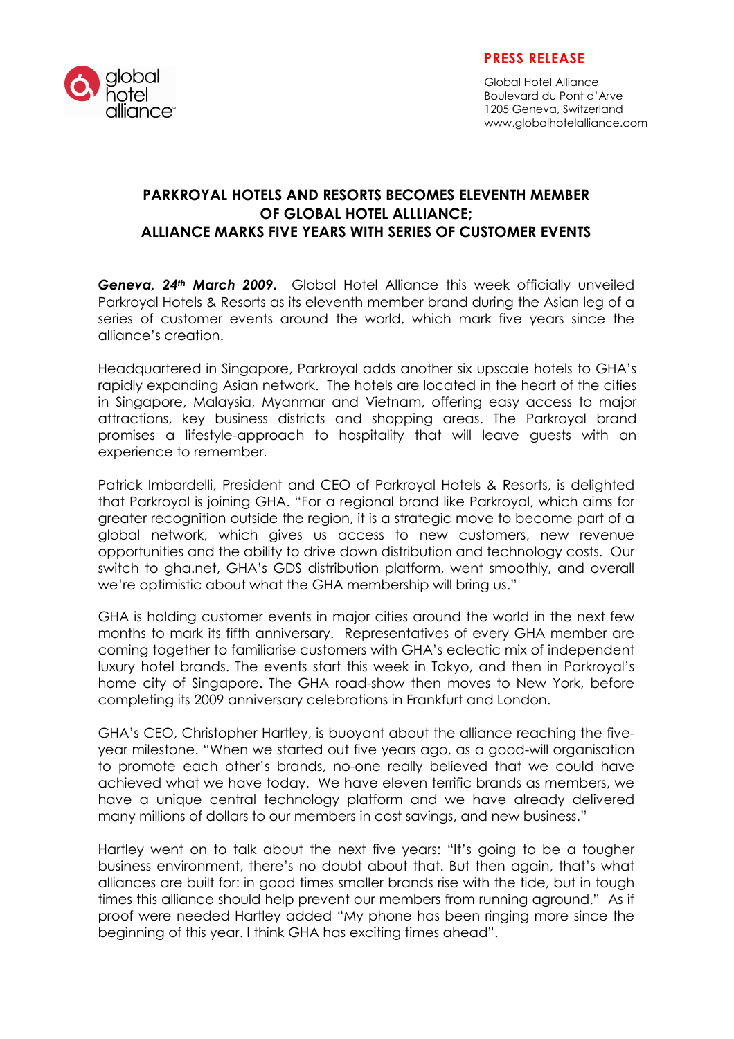

## **PRESS RELEASE**

Global Hotel Alliance Boulevard du Pont d'Arve 1205 Geneva, Switzerland www.globalhotelalliance.com

# **PARKROYAL HOTELS AND RESORTS BECOMES ELEVENTH MEMBER OF GLOBAL HOTEL ALLLIANCE; ALLIANCE MARKS FIVE YEARS WITH SERIES OF CUSTOMER EVENTS**

*Geneva, 24th March 2009***.** Global Hotel Alliance this week officially unveiled Parkroyal Hotels & Resorts as its eleventh member brand during the Asian leg of a series of customer events around the world, which mark five years since the alliance's creation.

Headquartered in Singapore, Parkroyal adds another six upscale hotels to GHA's rapidly expanding Asian network. The hotels are located in the heart of the cities in Singapore, Malaysia, Myanmar and Vietnam, offering easy access to major attractions, key business districts and shopping areas. The Parkroyal brand promises a lifestyle-approach to hospitality that will leave guests with an experience to remember.

Patrick Imbardelli, President and CEO of Parkroyal Hotels & Resorts, is delighted that Parkroyal is joining GHA. "For a regional brand like Parkroyal, which aims for greater recognition outside the region, it is a strategic move to become part of a global network, which gives us access to new customers, new revenue opportunities and the ability to drive down distribution and technology costs. Our switch to gha.net, GHA's GDS distribution platform, went smoothly, and overall we're optimistic about what the GHA membership will bring us."

GHA is holding customer events in major cities around the world in the next few months to mark its fifth anniversary. Representatives of every GHA member are coming together to familiarise customers with GHA's eclectic mix of independent luxury hotel brands. The events start this week in Tokyo, and then in Parkroyal's home city of Singapore. The GHA road-show then moves to New York, before completing its 2009 anniversary celebrations in Frankfurt and London.

GHA's CEO, Christopher Hartley, is buoyant about the alliance reaching the fiveyear milestone. "When we started out five years ago, as a good-will organisation to promote each other's brands, no-one really believed that we could have achieved what we have today. We have eleven terrific brands as members, we have a unique central technology platform and we have already delivered many millions of dollars to our members in cost savings, and new business."

Hartley went on to talk about the next five years: "It's going to be a tougher business environment, there's no doubt about that. But then again, that's what alliances are built for: in good times smaller brands rise with the tide, but in tough times this alliance should help prevent our members from running aground." As if proof were needed Hartley added "My phone has been ringing more since the beginning of this year. I think GHA has exciting times ahead".